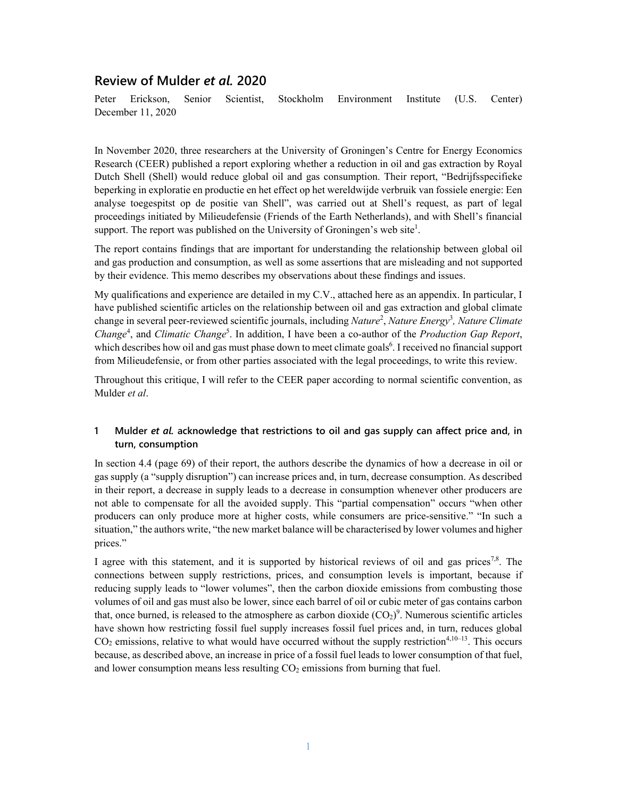# **Review of Mulder** *et al.* **2020**

Peter Erickson, Senior Scientist, Stockholm Environment Institute (U.S. Center) December 11, 2020

In November 2020, three researchers at the University of Groningen's Centre for Energy Economics Research (CEER) published a report exploring whether a reduction in oil and gas extraction by Royal Dutch Shell (Shell) would reduce global oil and gas consumption. Their report, "Bedrijfsspecifieke beperking in exploratie en productie en het effect op het wereldwijde verbruik van fossiele energie: Een analyse toegespitst op de positie van Shell", was carried out at Shell's request, as part of legal proceedings initiated by Milieudefensie (Friends of the Earth Netherlands), and with Shell's financial support. The report was published on the University of Groningen's web site<sup>1</sup>.

The report contains findings that are important for understanding the relationship between global oil and gas production and consumption, as well as some assertions that are misleading and not supported by their evidence. This memo describes my observations about these findings and issues.

My qualifications and experience are detailed in my C.V., attached here as an appendix. In particular, I have published scientific articles on the relationship between oil and gas extraction and global climate change in several peer-reviewed scientific journals, including *Nature*<sup>2</sup> , *Nature Energy*<sup>3</sup> *, Nature Climate*  Change<sup>4</sup>, and *Climatic Change<sup>5</sup>*. In addition, I have been a co-author of the *Production Gap Report*, which describes how oil and gas must phase down to meet climate goals<sup>6</sup>. I received no financial support from Milieudefensie, or from other parties associated with the legal proceedings, to write this review.

Throughout this critique, I will refer to the CEER paper according to normal scientific convention, as Mulder *et al*.

# **1 Mulder** *et al.* **acknowledge that restrictions to oil and gas supply can affect price and, in turn, consumption**

In section 4.4 (page 69) of their report, the authors describe the dynamics of how a decrease in oil or gas supply (a "supply disruption") can increase prices and, in turn, decrease consumption. As described in their report, a decrease in supply leads to a decrease in consumption whenever other producers are not able to compensate for all the avoided supply. This "partial compensation" occurs "when other producers can only produce more at higher costs, while consumers are price-sensitive." "In such a situation," the authors write, "the new market balance will be characterised by lower volumes and higher prices."

I agree with this statement, and it is supported by historical reviews of oil and gas prices<sup>7,8</sup>. The connections between supply restrictions, prices, and consumption levels is important, because if reducing supply leads to "lower volumes", then the carbon dioxide emissions from combusting those volumes of oil and gas must also be lower, since each barrel of oil or cubic meter of gas contains carbon that, once burned, is released to the atmosphere as carbon dioxide  $(CO_2)^9$ . Numerous scientific articles have shown how restricting fossil fuel supply increases fossil fuel prices and, in turn, reduces global  $CO<sub>2</sub>$  emissions, relative to what would have occurred without the supply restriction<sup>4,10–13</sup>. This occurs because, as described above, an increase in price of a fossil fuel leads to lower consumption of that fuel, and lower consumption means less resulting  $CO<sub>2</sub>$  emissions from burning that fuel.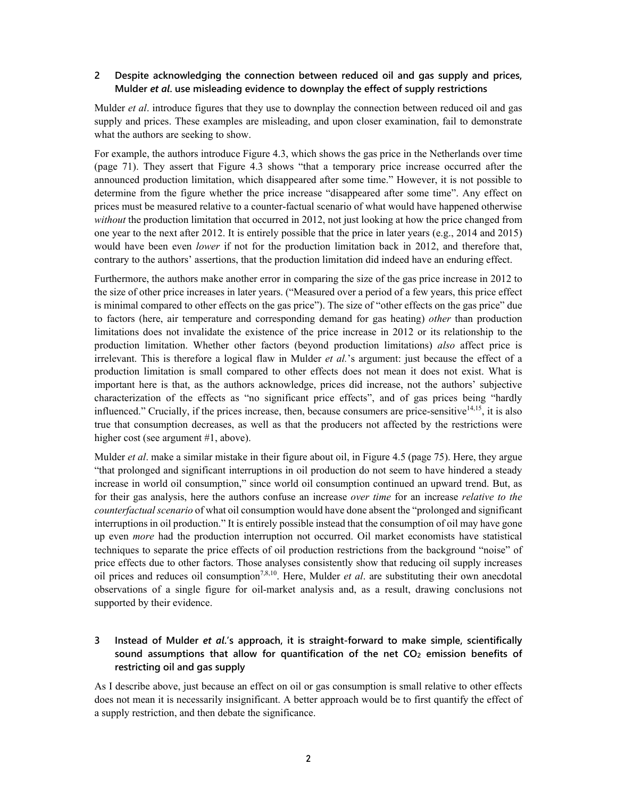### **2 Despite acknowledging the connection between reduced oil and gas supply and prices, Mulder** *et al***. use misleading evidence to downplay the effect of supply restrictions**

Mulder *et al*. introduce figures that they use to downplay the connection between reduced oil and gas supply and prices. These examples are misleading, and upon closer examination, fail to demonstrate what the authors are seeking to show.

For example, the authors introduce Figure 4.3, which shows the gas price in the Netherlands over time (page 71). They assert that Figure 4.3 shows "that a temporary price increase occurred after the announced production limitation, which disappeared after some time." However, it is not possible to determine from the figure whether the price increase "disappeared after some time". Any effect on prices must be measured relative to a counter-factual scenario of what would have happened otherwise *without* the production limitation that occurred in 2012, not just looking at how the price changed from one year to the next after 2012. It is entirely possible that the price in later years (e.g., 2014 and 2015) would have been even *lower* if not for the production limitation back in 2012, and therefore that, contrary to the authors' assertions, that the production limitation did indeed have an enduring effect.

Furthermore, the authors make another error in comparing the size of the gas price increase in 2012 to the size of other price increases in later years. ("Measured over a period of a few years, this price effect is minimal compared to other effects on the gas price"). The size of "other effects on the gas price" due to factors (here, air temperature and corresponding demand for gas heating) *other* than production limitations does not invalidate the existence of the price increase in 2012 or its relationship to the production limitation. Whether other factors (beyond production limitations) *also* affect price is irrelevant. This is therefore a logical flaw in Mulder *et al.*'s argument: just because the effect of a production limitation is small compared to other effects does not mean it does not exist. What is important here is that, as the authors acknowledge, prices did increase, not the authors' subjective characterization of the effects as "no significant price effects", and of gas prices being "hardly influenced." Crucially, if the prices increase, then, because consumers are price-sensitive $14,15$ , it is also true that consumption decreases, as well as that the producers not affected by the restrictions were higher cost (see argument #1, above).

Mulder *et al*. make a similar mistake in their figure about oil, in Figure 4.5 (page 75). Here, they argue "that prolonged and significant interruptions in oil production do not seem to have hindered a steady increase in world oil consumption," since world oil consumption continued an upward trend. But, as for their gas analysis, here the authors confuse an increase *over time* for an increase *relative to the counterfactual scenario* of what oil consumption would have done absent the "prolonged and significant interruptions in oil production." It is entirely possible instead that the consumption of oil may have gone up even *more* had the production interruption not occurred. Oil market economists have statistical techniques to separate the price effects of oil production restrictions from the background "noise" of price effects due to other factors. Those analyses consistently show that reducing oil supply increases oil prices and reduces oil consumption<sup>7,8,10</sup>. Here, Mulder *et al.* are substituting their own anecdotal observations of a single figure for oil-market analysis and, as a result, drawing conclusions not supported by their evidence.

# **3 Instead of Mulder** *et al***.'s approach, it is straight-forward to make simple, scientifically**  sound assumptions that allow for quantification of the net CO<sub>2</sub> emission benefits of **restricting oil and gas supply**

As I describe above, just because an effect on oil or gas consumption is small relative to other effects does not mean it is necessarily insignificant. A better approach would be to first quantify the effect of a supply restriction, and then debate the significance.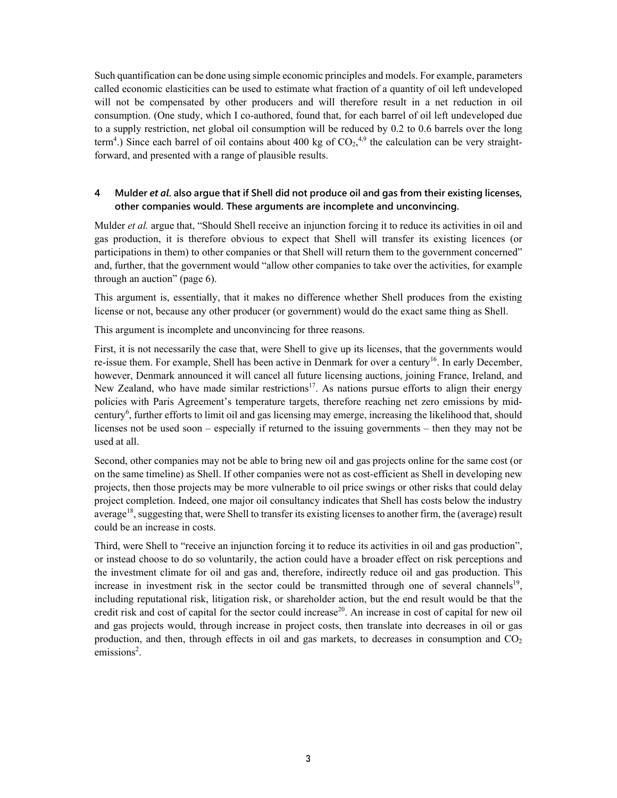Such quantification can be done using simple economic principles and models. For example, parameters called economic elasticities can be used to estimate what fraction of a quantity of oil left undeveloped will not be compensated by other producers and will therefore result in a net reduction in oil consumption. (One study, which I co-authored, found that, for each barrel of oil left undeveloped due to a supply restriction, net global oil consumption will be reduced by 0.2 to 0.6 barrels over the long term<sup>4</sup>.) Since each barrel of oil contains about 400 kg of  $CO<sub>2</sub>$ ,<sup>4,9</sup> the calculation can be very straightforward, and presented with a range of plausible results.

## **4 Mulder** *et al***. also argue that if Shell did not produce oil and gas from their existing licenses, other companies would. These arguments are incomplete and unconvincing.**

Mulder *et al.* argue that, "Should Shell receive an injunction forcing it to reduce its activities in oil and gas production, it is therefore obvious to expect that Shell will transfer its existing licences (or participations in them) to other companies or that Shell will return them to the government concerned" and, further, that the government would "allow other companies to take over the activities, for example through an auction" (page 6).

This argument is, essentially, that it makes no difference whether Shell produces from the existing license or not, because any other producer (or government) would do the exact same thing as Shell.

This argument is incomplete and unconvincing for three reasons.

First, it is not necessarily the case that, were Shell to give up its licenses, that the governments would re-issue them. For example, Shell has been active in Denmark for over a century<sup>16</sup>. In early December, however, Denmark announced it will cancel all future licensing auctions, joining France, Ireland, and New Zealand, who have made similar restrictions<sup>17</sup>. As nations pursue efforts to align their energy policies with Paris Agreement's temperature targets, therefore reaching net zero emissions by midcentury<sup>6</sup>, further efforts to limit oil and gas licensing may emerge, increasing the likelihood that, should licenses not be used soon – especially if returned to the issuing governments – then they may not be used at all.

Second, other companies may not be able to bring new oil and gas projects online for the same cost (or on the same timeline) as Shell. If other companies were not as cost-efficient as Shell in developing new projects, then those projects may be more vulnerable to oil price swings or other risks that could delay project completion. Indeed, one major oil consultancy indicates that Shell has costs below the industry average<sup>18</sup>, suggesting that, were Shell to transfer its existing licenses to another firm, the (average) result could be an increase in costs.

Third, were Shell to "receive an injunction forcing it to reduce its activities in oil and gas production", or instead choose to do so voluntarily, the action could have a broader effect on risk perceptions and the investment climate for oil and gas and, therefore, indirectly reduce oil and gas production. This increase in investment risk in the sector could be transmitted through one of several channels<sup>19</sup>, including reputational risk, litigation risk, or shareholder action, but the end result would be that the credit risk and cost of capital for the sector could increase<sup>20</sup>. An increase in cost of capital for new oil and gas projects would, through increase in project costs, then translate into decreases in oil or gas production, and then, through effects in oil and gas markets, to decreases in consumption and  $CO<sub>2</sub>$ emissions<sup>2</sup>.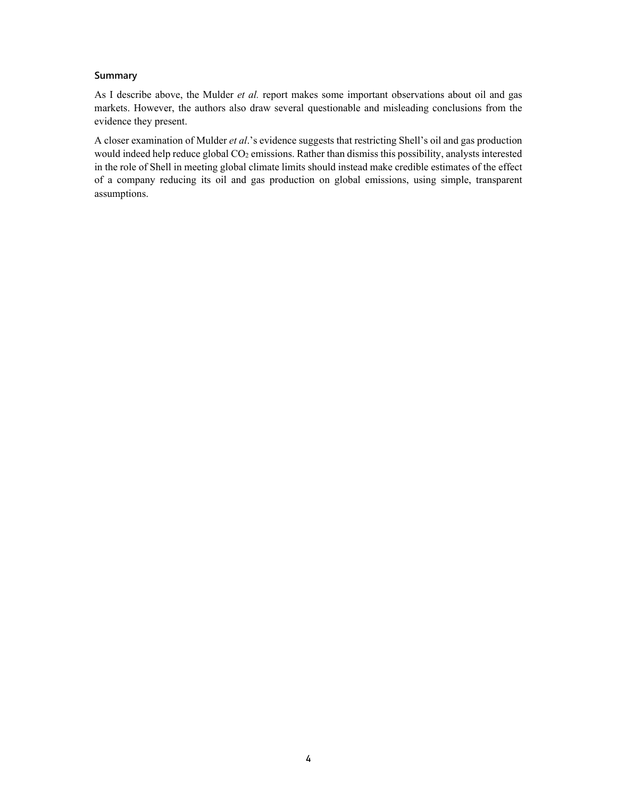### **Summary**

As I describe above, the Mulder *et al.* report makes some important observations about oil and gas markets. However, the authors also draw several questionable and misleading conclusions from the evidence they present.

A closer examination of Mulder *et al*.'s evidence suggests that restricting Shell's oil and gas production would indeed help reduce global CO<sub>2</sub> emissions. Rather than dismiss this possibility, analysts interested in the role of Shell in meeting global climate limits should instead make credible estimates of the effect of a company reducing its oil and gas production on global emissions, using simple, transparent assumptions.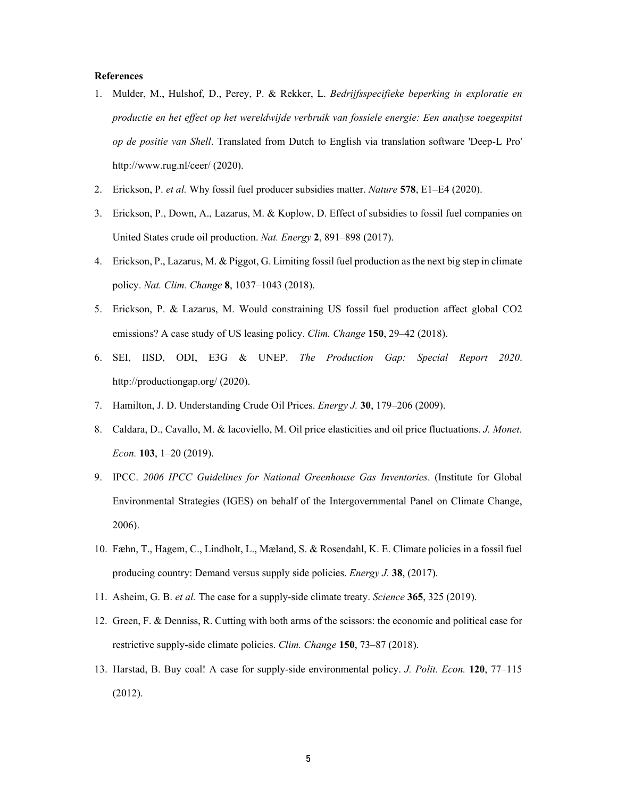#### **References**

- 1. Mulder, M., Hulshof, D., Perey, P. & Rekker, L. *Bedrijfsspecifieke beperking in exploratie en productie en het effect op het wereldwijde verbruik van fossiele energie: Een analyse toegespitst op de positie van Shell*. Translated from Dutch to English via translation software 'Deep-L Pro' http://www.rug.nl/ceer/ (2020).
- 2. Erickson, P. *et al.* Why fossil fuel producer subsidies matter. *Nature* **578**, E1–E4 (2020).
- 3. Erickson, P., Down, A., Lazarus, M. & Koplow, D. Effect of subsidies to fossil fuel companies on United States crude oil production. *Nat. Energy* **2**, 891–898 (2017).
- 4. Erickson, P., Lazarus, M. & Piggot, G. Limiting fossil fuel production as the next big step in climate policy. *Nat. Clim. Change* **8**, 1037–1043 (2018).
- 5. Erickson, P. & Lazarus, M. Would constraining US fossil fuel production affect global CO2 emissions? A case study of US leasing policy. *Clim. Change* **150**, 29–42 (2018).
- 6. SEI, IISD, ODI, E3G & UNEP. *The Production Gap: Special Report 2020*. http://productiongap.org/ (2020).
- 7. Hamilton, J. D. Understanding Crude Oil Prices. *Energy J.* **30**, 179–206 (2009).
- 8. Caldara, D., Cavallo, M. & Iacoviello, M. Oil price elasticities and oil price fluctuations. *J. Monet. Econ.* **103**, 1–20 (2019).
- 9. IPCC. *2006 IPCC Guidelines for National Greenhouse Gas Inventories*. (Institute for Global Environmental Strategies (IGES) on behalf of the Intergovernmental Panel on Climate Change, 2006).
- 10. Fæhn, T., Hagem, C., Lindholt, L., Mæland, S. & Rosendahl, K. E. Climate policies in a fossil fuel producing country: Demand versus supply side policies. *Energy J.* **38**, (2017).
- 11. Asheim, G. B. *et al.* The case for a supply-side climate treaty. *Science* **365**, 325 (2019).
- 12. Green, F. & Denniss, R. Cutting with both arms of the scissors: the economic and political case for restrictive supply-side climate policies. *Clim. Change* **150**, 73–87 (2018).
- 13. Harstad, B. Buy coal! A case for supply-side environmental policy. *J. Polit. Econ.* **120**, 77–115 (2012).